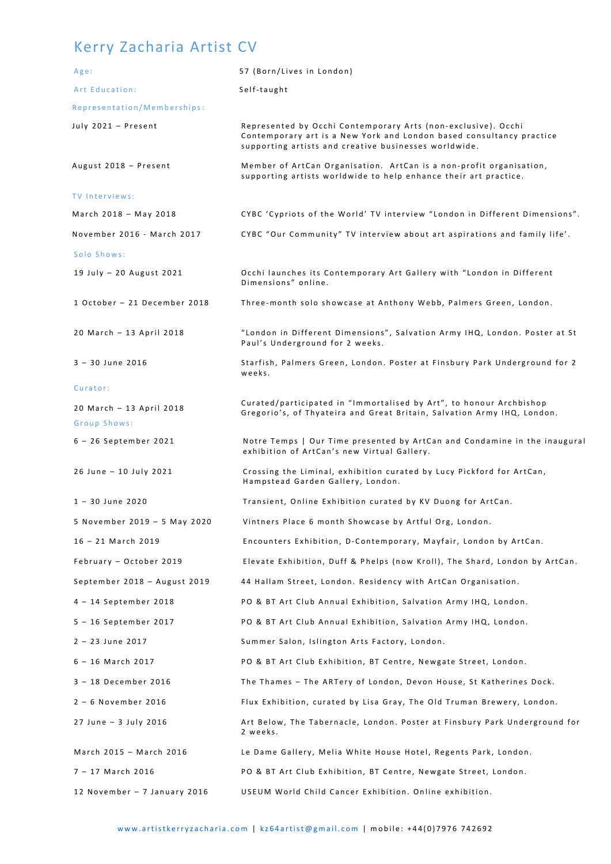## Kerry Zacharia Artist CV

| Age:                                     | 57 (Born/Lives in London)                                                                                                                                                                      |
|------------------------------------------|------------------------------------------------------------------------------------------------------------------------------------------------------------------------------------------------|
| Art Education:                           | Self-taught                                                                                                                                                                                    |
| Representation/Memberships:              |                                                                                                                                                                                                |
| July 2021 - Present                      | Represented by Occhi Contemporary Arts (non-exclusive). Occhi<br>Contemporary art is a New York and London based consultancy practice<br>supporting artists and creative businesses worldwide. |
| August 2018 - Present                    | Member of ArtCan Organisation. ArtCan is a non-profit organisation,<br>supporting artists worldwide to help enhance their art practice.                                                        |
| <b>TV Interviews:</b>                    |                                                                                                                                                                                                |
| March 2018 - May 2018                    | CYBC 'Cypriots of the World' TV interview "London in Different Dimensions".                                                                                                                    |
| November 2016 - March 2017               | CYBC "Our Community" TV interview about art aspirations and family life'.                                                                                                                      |
| Solo Shows:                              |                                                                                                                                                                                                |
| 19 July - 20 August 2021                 | Occhi launches its Contemporary Art Gallery with "London in Different<br>Dimensions" online.                                                                                                   |
| 1 October - 21 December 2018             | Three-month solo showcase at Anthony Webb, Palmers Green, London.                                                                                                                              |
| 20 March - 13 April 2018                 | "London in Different Dimensions", Salvation Army IHQ, London. Poster at St<br>Paul's Underground for 2 weeks.                                                                                  |
| $3 - 30$ June 2016                       | Starfish, Palmers Green, London. Poster at Finsbury Park Underground for 2<br>weeks.                                                                                                           |
| Curator:                                 |                                                                                                                                                                                                |
| 20 March - 13 April 2018<br>Group Shows: | Curated/participated in "Immortalised by Art", to honour Archbishop<br>Gregorio's, of Thyateira and Great Britain, Salvation Army IHQ, London.                                                 |
| 6 - 26 September 2021                    | Notre Temps   Our Time presented by ArtCan and Condamine in the inaugural<br>exhibition of ArtCan's new Virtual Gallery.                                                                       |
| 26 June - 10 July 2021                   | Crossing the Liminal, exhibition curated by Lucy Pickford for ArtCan,<br>Hampstead Garden Gallery, London.                                                                                     |
| $1 - 30$ June 2020                       | Transient, Online Exhibition curated by KV Duong for ArtCan.                                                                                                                                   |
| 5 November 2019 - 5 May 2020             | Vintners Place 6 month Showcase by Artful Org, London.                                                                                                                                         |
| $16 - 21$ March 2019                     | Encounters Exhibition, D-Contemporary, Mayfair, London by ArtCan.                                                                                                                              |
| February - October 2019                  | Elevate Exhibition, Duff & Phelps (now Kroll), The Shard, London by ArtCan.                                                                                                                    |
| September 2018 - August 2019             | 44 Hallam Street, London. Residency with ArtCan Organisation.                                                                                                                                  |
| 4 - 14 September 2018                    | PO & BT Art Club Annual Exhibition, Salvation Army IHQ, London.                                                                                                                                |
| 5 - 16 September 2017                    | PO & BT Art Club Annual Exhibition, Salvation Army IHQ, London.                                                                                                                                |
| $2 - 23$ June 2017                       | Summer Salon, Islington Arts Factory, London.                                                                                                                                                  |
| $6 - 16$ March 2017                      | PO & BT Art Club Exhibition, BT Centre, Newgate Street, London.                                                                                                                                |
| 3 - 18 December 2016                     | The Thames - The ARTery of London, Devon House, St Katherines Dock.                                                                                                                            |
| $2 - 6$ November 2016                    | Flux Exhibition, curated by Lisa Gray, The Old Truman Brewery, London.                                                                                                                         |
| 27 June - 3 July 2016                    | Art Below, The Tabernacle, London. Poster at Finsbury Park Underground for<br>2 weeks.                                                                                                         |
| March 2015 - March 2016                  | Le Dame Gallery, Melia White House Hotel, Regents Park, London.                                                                                                                                |
| 7 - 17 March 2016                        | PO & BT Art Club Exhibition, BT Centre, Newgate Street, London.                                                                                                                                |
| 12 November - 7 January 2016             | USEUM World Child Cancer Exhibition. Online exhibition.                                                                                                                                        |